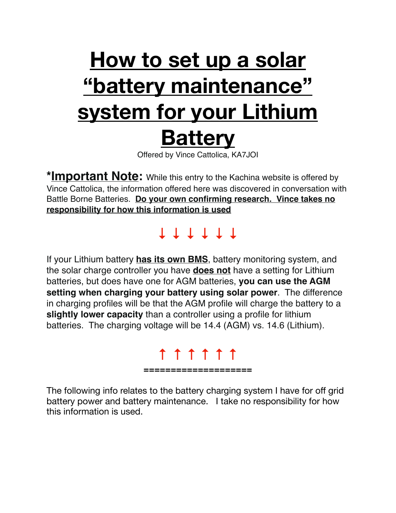# **How to set up a solar "battery maintenance" system for your Lithium Battery**  Offered by Vince Cattolica, KA7JOI

**\*Important Note:** While this entry to the Kachina website is offered by Vince Cattolica, the information offered here was discovered in conversation with Battle Borne Batteries. **Do your own confirming research. Vince takes no responsibility for how this information is used**

### **↓ ↓ ↓ ↓ ↓ ↓**

If your Lithium battery **has its own BMS**, battery monitoring system, and the solar charge controller you have **does not** have a setting for Lithium batteries, but does have one for AGM batteries, **you can use the AGM setting when charging your battery using solar power**. The difference in charging profiles will be that the AGM profile will charge the battery to a **slightly lower capacity** than a controller using a profile for lithium batteries. The charging voltage will be 14.4 (AGM) vs. 14.6 (Lithium).

#### **↑ ↑ ↑ ↑ ↑ ↑ ====================**

The following info relates to the battery charging system I have for off grid battery power and battery maintenance. I take no responsibility for how this information is used.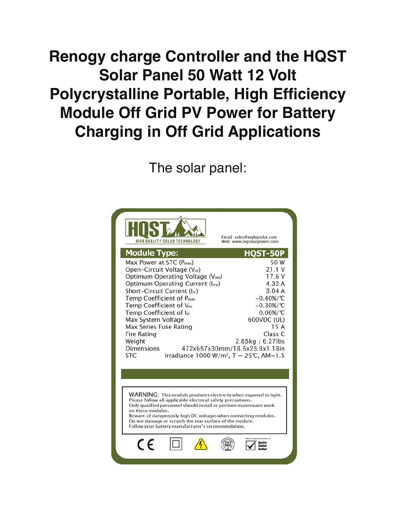## **Renogy charge Controller and the HQST Solar Panel 50 Watt 12 Volt Polycrystalline Portable, High Efficiency Module Off Grid PV Power for Battery Charging in Off Grid Applications**

The solar panel:

| HIGH QUALITY SOLAR TECHNOLOGY                                                                                                                                                                                                                                                                                                                                                                                                                                                                                                  | Email: sales@myhqsolar.com<br>Web: www.hgsolarpower.com                                                                                                                                                                       |
|--------------------------------------------------------------------------------------------------------------------------------------------------------------------------------------------------------------------------------------------------------------------------------------------------------------------------------------------------------------------------------------------------------------------------------------------------------------------------------------------------------------------------------|-------------------------------------------------------------------------------------------------------------------------------------------------------------------------------------------------------------------------------|
| <b>Module Type:</b><br>Max Power at STC (P <sub>max</sub> )<br>Open-Circuit Voltage (Voc)<br>Optimum Operating Voltage (V <sub>mp</sub> )<br>Optimum Operating Current (Imp)<br>Short-Circuit Current (Isc)<br>Temp Coefficient of P <sub>max</sub><br>Temp Coefficient of Voc<br>Temp Coefficient of Isc<br>Max System Voltage<br>Max Series Fuse Rating<br><b>Fire Rating</b><br>Weight<br><b>Dimensions</b>                                                                                                                 | QST-50P<br>50W<br>21.1V<br>17.6 V<br>4.32 A<br>3.04A<br>$-0.40\%/^{\circ}\text{C}$<br>$-0.30\%/^{\circ}\text{C}$<br>$0.06\%/^{\circ}C$<br>600VDC (UL)<br>15 A<br>Class C<br>2.85kg / 6.27lbs<br>472x657x30mm/18.5x25.8x1.18in |
| Irradiance 1000 W/m <sup>2</sup> , T = 25℃, AM=1.5<br><b>STC</b><br><b>WARNING:</b> This module produces electricity when exposed to light.<br>Please follow all applicable electrical safety precautions.<br>Only qualified personnel should install or perform maintenace work<br>on these modules.<br>Beware of dangerously high DC voltages when connecting modules.<br>Do not damage or scratch the rear surface of the module.<br>Follow your battery manufacturer's recommendation.<br>Cation Class A<br><b>Guality</b> |                                                                                                                                                                                                                               |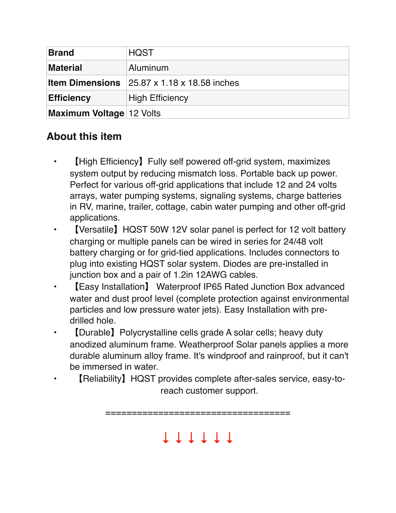| <b>Brand</b>                    | <b>HQST</b>                 |
|---------------------------------|-----------------------------|
| <b>Material</b>                 | Aluminum                    |
| <b>Item Dimensions</b>          | 25.87 x 1.18 x 18.58 inches |
| <b>Efficiency</b>               | <b>High Efficiency</b>      |
| <b>Maximum Voltage 12 Volts</b> |                             |

#### **About this item**

- 【High Efficiency】Fully self powered off-grid system, maximizes system output by reducing mismatch loss. Portable back up power. Perfect for various off-grid applications that include 12 and 24 volts arrays, water pumping systems, signaling systems, charge batteries in RV, marine, trailer, cottage, cabin water pumping and other off-grid applications.
- **[Versatile] HQST 50W 12V solar panel is perfect for 12 volt battery** charging or multiple panels can be wired in series for 24/48 volt battery charging or for grid-tied applications. Includes connectors to plug into existing HQST solar system. Diodes are pre-installed in junction box and a pair of 1.2in 12AWG cables.
- 【Easy Installation】 Waterproof IP65 Rated Junction Box advanced water and dust proof level (complete protection against environmental particles and low pressure water jets). Easy Installation with predrilled hole.
- **[Durable]** Polycrystalline cells grade A solar cells; heavy duty anodized aluminum frame. Weatherproof Solar panels applies a more durable aluminum alloy frame. It's windproof and rainproof, but it can't be immersed in water.
	- 【Reliability】HQST provides complete after-sales service, easy-toreach customer support.

===================================

↓ ↓ ↓ ↓ ↓ ↓